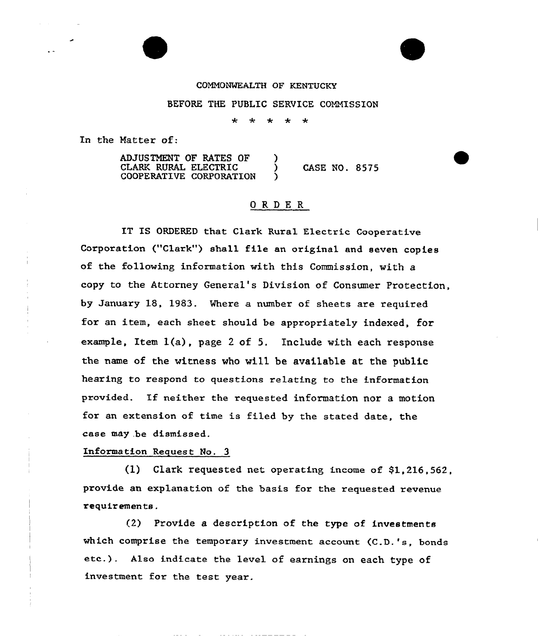## CONNONWEALTH OF KENTUCKY

## BEFORE THE PUBLIC SERVICE COMMISSION

 $\star$ 

In the Natter of:

ADJUSTMENT OF RATES OF ) CLARK RURAL ELECTRIC ) CASE NO. 8575 COOPERATIVE CORPORATION

## ORDER<sub>.</sub>

IT IS ORDERED that Clark Rural Electric Cooperative Corporation ("Clark'") shall file an original and seven copies of the following information with this Commission, with a copy to the Attorney General's Division of Consumer Protection, by January 18, 1983. Where a numbex of sheets are required for an item, each sheet should be appropriately indexed, for example, Item 1(a), page <sup>2</sup> of 5. Include with each response the name of the witness who will be available at the public hearing to respond to questions relating to the information pxovided. If neither the requested information nor <sup>a</sup> motion for an extension of time is filed by the stated date, the case may .be dismissed.

## Information Request No. 3

(1) Clark requested net operating income of \$1,216,562, provide an explanation of the basis for the requested revenue requir emen ts .

 $(2)$  Provide a description of the type of investments which comprise the temporary investment account (C.D.'s, bonds etc.). Also indicate the level of earnings on each type of investment for the test year.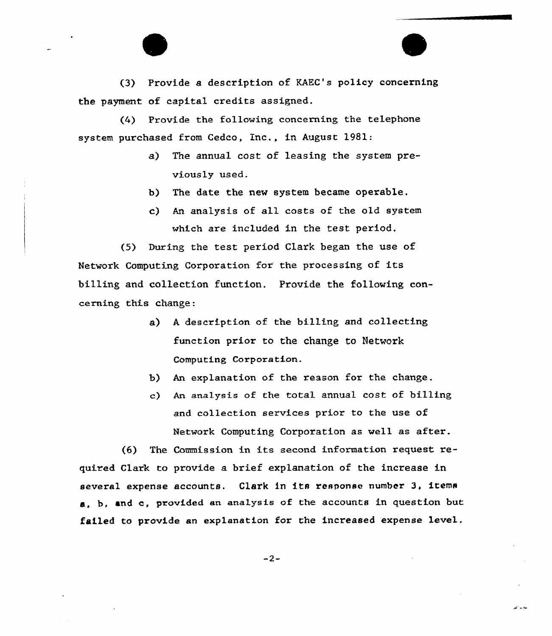(3) Provide a description of KAEC's policy concerning the payment of capita1 credits assigned.

(4) Provide the following concerning the telephone system purchased from Cedco, inc., in August 1981:

- a) The annual cost of leasing the system previously used.
- b) The date the new system became operable.
- An analysis of all costs of the old system which are included in the test period.

(5) During the test period Clark began the use of Network Computing Corporation for the processing of its billing and collection function. Provide the following concerning this change:

- a) A description of the billing and collecting function prior to the change to Network Computing Corporation.
- b) An explanation of the reason for the change.
- c) An ana1ysis of the total annual cost of billing and co11ection services prior to the use of Network Computing Corporation as well as after.

معروس

(6) The Commission in its second information request. required Clark to provide a brief explanation of the increase in several expense accounts. Clark in its response number 3, items b, and c, provided an analysis of the accounts in question but failed to provide an explanation for the increased expense level.

 $-2-$